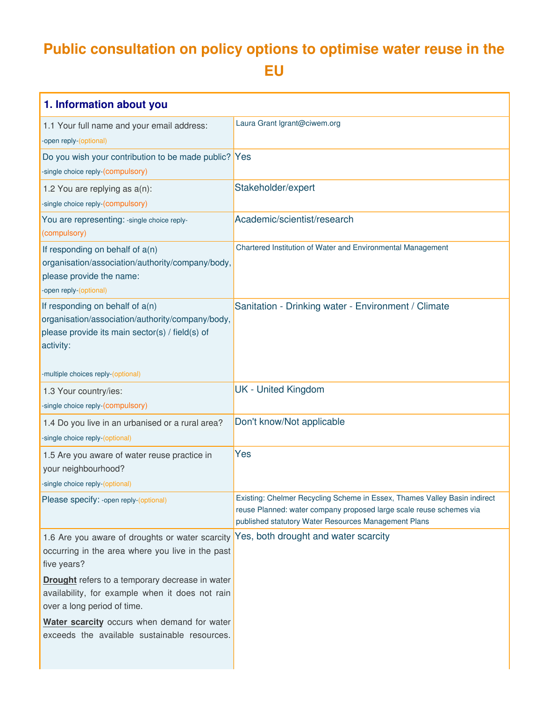## **Public consultation on policy options to optimise water reuse in the EU**

| 1. Information about you                                                                                                                              |                                                                                                                                                                                                          |
|-------------------------------------------------------------------------------------------------------------------------------------------------------|----------------------------------------------------------------------------------------------------------------------------------------------------------------------------------------------------------|
| 1.1 Your full name and your email address:<br>-open reply-(optional)                                                                                  | Laura Grant Igrant@ciwem.org                                                                                                                                                                             |
| Do you wish your contribution to be made public? Yes<br>-single choice reply-(compulsory)                                                             |                                                                                                                                                                                                          |
| 1.2 You are replying as a(n):<br>-single choice reply-(compulsory)                                                                                    | Stakeholder/expert                                                                                                                                                                                       |
| You are representing: -single choice reply-<br>(compulsory)                                                                                           | Academic/scientist/research                                                                                                                                                                              |
| If responding on behalf of a(n)<br>organisation/association/authority/company/body,<br>please provide the name:<br>-open reply-(optional)             | Chartered Institution of Water and Environmental Management                                                                                                                                              |
| If responding on behalf of $a(n)$<br>organisation/association/authority/company/body,<br>please provide its main sector(s) / field(s) of<br>activity: | Sanitation - Drinking water - Environment / Climate                                                                                                                                                      |
| -multiple choices reply-(optional)                                                                                                                    |                                                                                                                                                                                                          |
| 1.3 Your country/ies:<br>-single choice reply-(compulsory)                                                                                            | <b>UK - United Kingdom</b>                                                                                                                                                                               |
| 1.4 Do you live in an urbanised or a rural area?<br>-single choice reply-(optional)                                                                   | Don't know/Not applicable                                                                                                                                                                                |
| 1.5 Are you aware of water reuse practice in<br>your neighbourhood?<br>-single choice reply-(optional)                                                | Yes                                                                                                                                                                                                      |
| Please specify: -open reply-(optional)                                                                                                                | Existing: Chelmer Recycling Scheme in Essex, Thames Valley Basin indirect<br>reuse Planned: water company proposed large scale reuse schemes via<br>published statutory Water Resources Management Plans |
| 1.6 Are you aware of droughts or water scarcity<br>occurring in the area where you live in the past<br>five years?                                    | Yes, both drought and water scarcity                                                                                                                                                                     |
| <b>Drought</b> refers to a temporary decrease in water<br>availability, for example when it does not rain<br>over a long period of time.              |                                                                                                                                                                                                          |
| Water scarcity occurs when demand for water<br>exceeds the available sustainable resources.                                                           |                                                                                                                                                                                                          |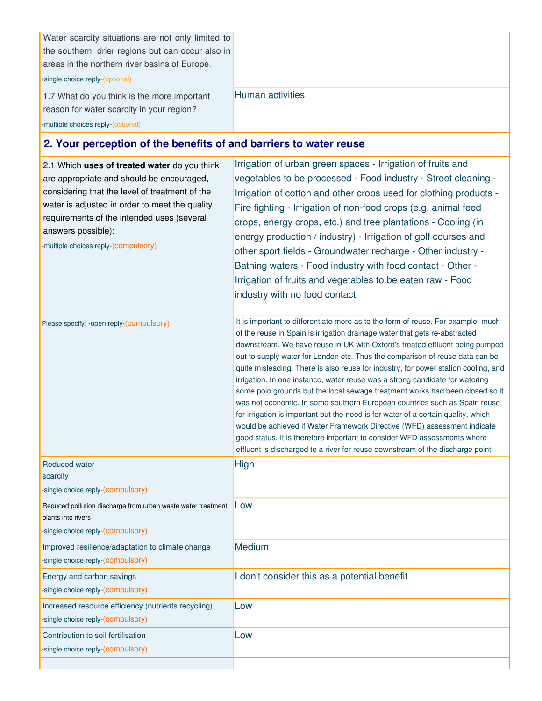| Water scarcity situations are not only limited to<br>the southern, drier regions but can occur also in<br>areas in the northern river basins of Europe.<br>-single choice reply-(optional)<br>1.7 What do you think is the more important<br>reason for water scarcity in your region?                    | Human activities                                                                                                                                                                                                                                                                                                                                                                                                                                                                                                                                                                                                                                                                                                                                                                                                                                                                                                                                                                                |  |
|-----------------------------------------------------------------------------------------------------------------------------------------------------------------------------------------------------------------------------------------------------------------------------------------------------------|-------------------------------------------------------------------------------------------------------------------------------------------------------------------------------------------------------------------------------------------------------------------------------------------------------------------------------------------------------------------------------------------------------------------------------------------------------------------------------------------------------------------------------------------------------------------------------------------------------------------------------------------------------------------------------------------------------------------------------------------------------------------------------------------------------------------------------------------------------------------------------------------------------------------------------------------------------------------------------------------------|--|
| -multiple choices reply-(optional)                                                                                                                                                                                                                                                                        |                                                                                                                                                                                                                                                                                                                                                                                                                                                                                                                                                                                                                                                                                                                                                                                                                                                                                                                                                                                                 |  |
| 2. Your perception of the benefits of and barriers to water reuse                                                                                                                                                                                                                                         |                                                                                                                                                                                                                                                                                                                                                                                                                                                                                                                                                                                                                                                                                                                                                                                                                                                                                                                                                                                                 |  |
| 2.1 Which uses of treated water do you think<br>are appropriate and should be encouraged,<br>considering that the level of treatment of the<br>water is adjusted in order to meet the quality<br>requirements of the intended uses (several<br>answers possible):<br>-multiple choices reply-(compulsory) | Irrigation of urban green spaces - Irrigation of fruits and<br>vegetables to be processed - Food industry - Street cleaning -<br>Irrigation of cotton and other crops used for clothing products -<br>Fire fighting - Irrigation of non-food crops (e.g. animal feed<br>crops, energy crops, etc.) and tree plantations - Cooling (in<br>energy production / industry) - Irrigation of golf courses and<br>other sport fields - Groundwater recharge - Other industry -<br>Bathing waters - Food industry with food contact - Other -<br>Irrigation of fruits and vegetables to be eaten raw - Food<br>industry with no food contact                                                                                                                                                                                                                                                                                                                                                            |  |
| Please specify: -open reply-(compulsory)                                                                                                                                                                                                                                                                  | It is important to differentiate more as to the form of reuse. For example, much<br>of the reuse in Spain is irrigation drainage water that gets re-abstracted<br>downstream. We have reuse in UK with Oxford's treated effluent being pumped<br>out to supply water for London etc. Thus the comparison of reuse data can be<br>quite misleading. There is also reuse for industry, for power station cooling, and<br>irrigation. In one instance, water reuse was a strong candidate for watering<br>some polo grounds but the local sewage treatment works had been closed so it<br>was not economic. In some southern European countries such as Spain reuse<br>for irrigation is important but the need is for water of a certain quality, which<br>would be achieved if Water Framework Directive (WFD) assessment indicate<br>good status. It is therefore important to consider WFD assessments where<br>effluent is discharged to a river for reuse downstream of the discharge point. |  |
| <b>Reduced water</b><br>scarcity<br>-single choice reply-(compulsory)                                                                                                                                                                                                                                     | High                                                                                                                                                                                                                                                                                                                                                                                                                                                                                                                                                                                                                                                                                                                                                                                                                                                                                                                                                                                            |  |
| Reduced pollution discharge from urban waste water treatment<br>plants into rivers<br>single choice reply-(compulsory)                                                                                                                                                                                    | Low                                                                                                                                                                                                                                                                                                                                                                                                                                                                                                                                                                                                                                                                                                                                                                                                                                                                                                                                                                                             |  |
| Improved resilience/adaptation to climate change<br>-single choice reply-(compulsory)                                                                                                                                                                                                                     | Medium                                                                                                                                                                                                                                                                                                                                                                                                                                                                                                                                                                                                                                                                                                                                                                                                                                                                                                                                                                                          |  |
| Energy and carbon savings<br>-single choice reply-(compulsory)                                                                                                                                                                                                                                            | I don't consider this as a potential benefit                                                                                                                                                                                                                                                                                                                                                                                                                                                                                                                                                                                                                                                                                                                                                                                                                                                                                                                                                    |  |
| Increased resource efficiency (nutrients recycling)<br>-single choice reply-(compulsory)                                                                                                                                                                                                                  | Low                                                                                                                                                                                                                                                                                                                                                                                                                                                                                                                                                                                                                                                                                                                                                                                                                                                                                                                                                                                             |  |
| Contribution to soil fertilisation<br>-single choice reply-(compulsory)                                                                                                                                                                                                                                   | Low                                                                                                                                                                                                                                                                                                                                                                                                                                                                                                                                                                                                                                                                                                                                                                                                                                                                                                                                                                                             |  |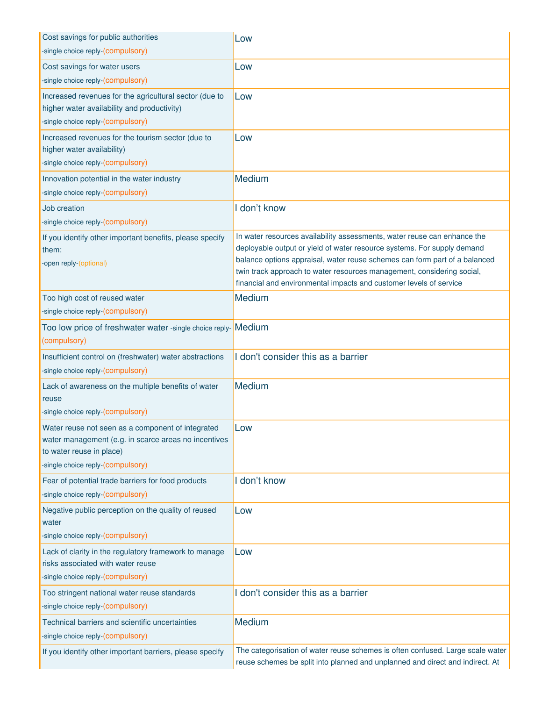| Cost savings for public authorities                                                                                                                                        | Low                                                                                                                                                                                                                                                                                                                                                                               |
|----------------------------------------------------------------------------------------------------------------------------------------------------------------------------|-----------------------------------------------------------------------------------------------------------------------------------------------------------------------------------------------------------------------------------------------------------------------------------------------------------------------------------------------------------------------------------|
| -single choice reply-(compulsory)                                                                                                                                          |                                                                                                                                                                                                                                                                                                                                                                                   |
| Cost savings for water users                                                                                                                                               | Low                                                                                                                                                                                                                                                                                                                                                                               |
| -single choice reply-(compulsory)                                                                                                                                          |                                                                                                                                                                                                                                                                                                                                                                                   |
| Increased revenues for the agricultural sector (due to<br>higher water availability and productivity)                                                                      | Low                                                                                                                                                                                                                                                                                                                                                                               |
| -single choice reply-(compulsory)                                                                                                                                          |                                                                                                                                                                                                                                                                                                                                                                                   |
| Increased revenues for the tourism sector (due to<br>higher water availability)                                                                                            | Low                                                                                                                                                                                                                                                                                                                                                                               |
| -single choice reply-(compulsory)                                                                                                                                          |                                                                                                                                                                                                                                                                                                                                                                                   |
| Innovation potential in the water industry<br>-single choice reply-(compulsory)                                                                                            | Medium                                                                                                                                                                                                                                                                                                                                                                            |
| Job creation                                                                                                                                                               | don't know                                                                                                                                                                                                                                                                                                                                                                        |
| -single choice reply-(compulsory)                                                                                                                                          |                                                                                                                                                                                                                                                                                                                                                                                   |
| If you identify other important benefits, please specify<br>them:<br>-open reply-(optional)                                                                                | In water resources availability assessments, water reuse can enhance the<br>deployable output or yield of water resource systems. For supply demand<br>balance options appraisal, water reuse schemes can form part of a balanced<br>twin track approach to water resources management, considering social,<br>financial and environmental impacts and customer levels of service |
| Too high cost of reused water                                                                                                                                              | Medium                                                                                                                                                                                                                                                                                                                                                                            |
| -single choice reply-(compulsory)                                                                                                                                          |                                                                                                                                                                                                                                                                                                                                                                                   |
| Too low price of freshwater water -single choice reply- Medium<br>(compulsory)                                                                                             |                                                                                                                                                                                                                                                                                                                                                                                   |
| Insufficient control on (freshwater) water abstractions<br>-single choice reply-(compulsory)                                                                               | I don't consider this as a barrier                                                                                                                                                                                                                                                                                                                                                |
| Lack of awareness on the multiple benefits of water<br>reuse<br>-single choice reply-(compulsory)                                                                          | Medium                                                                                                                                                                                                                                                                                                                                                                            |
| Water reuse not seen as a component of integrated<br>water management (e.g. in scarce areas no incentives<br>to water reuse in place)<br>-single choice reply-(compulsory) | Low                                                                                                                                                                                                                                                                                                                                                                               |
| Fear of potential trade barriers for food products<br>-single choice reply-(compulsory)                                                                                    | I don't know                                                                                                                                                                                                                                                                                                                                                                      |
| Negative public perception on the quality of reused<br>water                                                                                                               | Low                                                                                                                                                                                                                                                                                                                                                                               |
| -single choice reply-(compulsory)                                                                                                                                          |                                                                                                                                                                                                                                                                                                                                                                                   |
| Lack of clarity in the regulatory framework to manage<br>risks associated with water reuse<br>-single choice reply-(compulsory)                                            | Low                                                                                                                                                                                                                                                                                                                                                                               |
| Too stringent national water reuse standards<br>-single choice reply-(compulsory)                                                                                          | don't consider this as a barrier                                                                                                                                                                                                                                                                                                                                                  |
| Technical barriers and scientific uncertainties<br>-single choice reply-(compulsory)                                                                                       | Medium                                                                                                                                                                                                                                                                                                                                                                            |
| If you identify other important barriers, please specify                                                                                                                   | The categorisation of water reuse schemes is often confused. Large scale water<br>reuse schemes be split into planned and unplanned and direct and indirect. At                                                                                                                                                                                                                   |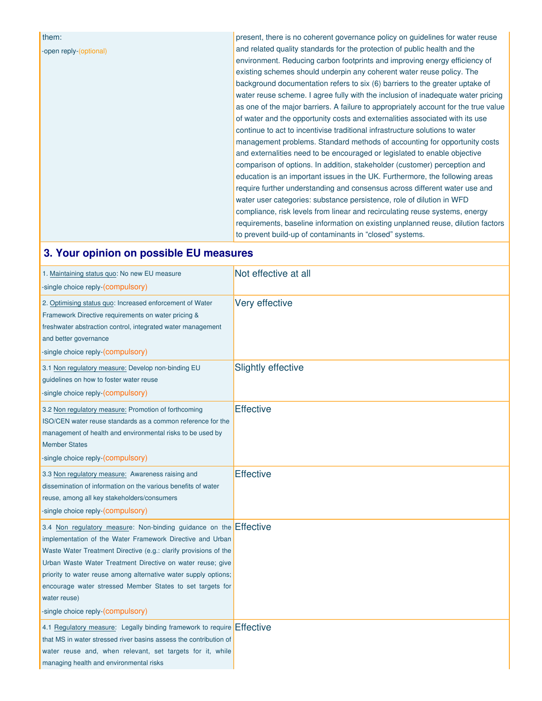## -open reply-(optional)

them:

present, there is no coherent governance policy on guidelines for water reuse and related quality standards for the protection of public health and the environment. Reducing carbon footprints and improving energy efficiency of existing schemes should underpin any coherent water reuse policy. The background documentation refers to six (6) barriers to the greater uptake of water reuse scheme. I agree fully with the inclusion of inadequate water pricing as one of the major barriers. A failure to appropriately account for the true value of water and the opportunity costs and externalities associated with its use continue to act to incentivise traditional infrastructure solutions to water management problems. Standard methods of accounting for opportunity costs and externalities need to be encouraged or legislated to enable objective comparison of options. In addition, stakeholder (customer) perception and education is an important issues in the UK. Furthermore, the following areas require further understanding and consensus across different water use and water user categories: substance persistence, role of dilution in WFD compliance, risk levels from linear and recirculating reuse systems, energy requirements, baseline information on existing unplanned reuse, dilution factors to prevent build-up of contaminants in "closed" systems.

## **3. Your opinion on possible EU measures**

| 1. Maintaining status quo: No new EU measure<br>-single choice reply-(compulsory)                                                                                                                                                                                                                                                                                                                                                                     | Not effective at all      |
|-------------------------------------------------------------------------------------------------------------------------------------------------------------------------------------------------------------------------------------------------------------------------------------------------------------------------------------------------------------------------------------------------------------------------------------------------------|---------------------------|
| 2. Optimising status quo: Increased enforcement of Water<br>Framework Directive requirements on water pricing &<br>freshwater abstraction control, integrated water management<br>and better governance<br>-single choice reply-(compulsory)                                                                                                                                                                                                          | Very effective            |
| 3.1 Non regulatory measure: Develop non-binding EU<br>guidelines on how to foster water reuse<br>-single choice reply-(compulsory)                                                                                                                                                                                                                                                                                                                    | <b>Slightly effective</b> |
| 3.2 Non regulatory measure: Promotion of forthcoming<br>ISO/CEN water reuse standards as a common reference for the<br>management of health and environmental risks to be used by<br><b>Member States</b><br>-single choice reply-(compulsory)                                                                                                                                                                                                        | <b>Effective</b>          |
| 3.3 Non regulatory measure: Awareness raising and<br>dissemination of information on the various benefits of water<br>reuse, among all key stakeholders/consumers<br>-single choice reply-(compulsory)                                                                                                                                                                                                                                                | <b>Effective</b>          |
| 3.4 Non regulatory measure: Non-binding guidance on the Effective<br>implementation of the Water Framework Directive and Urban<br>Waste Water Treatment Directive (e.g.: clarify provisions of the<br>Urban Waste Water Treatment Directive on water reuse; give<br>priority to water reuse among alternative water supply options;<br>encourage water stressed Member States to set targets for<br>water reuse)<br>-single choice reply-(compulsory) |                           |
| 4.1 Regulatory measure: Legally binding framework to require Effective<br>that MS in water stressed river basins assess the contribution of<br>water reuse and, when relevant, set targets for it, while<br>managing health and environmental risks                                                                                                                                                                                                   |                           |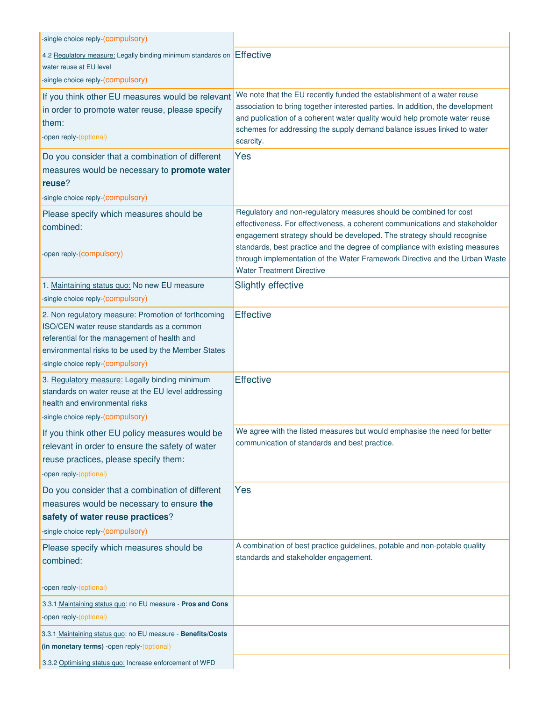| -single choice reply-(compulsory)                                                                     |                                                                                                                                                          |
|-------------------------------------------------------------------------------------------------------|----------------------------------------------------------------------------------------------------------------------------------------------------------|
| 4.2 Regulatory measure: Legally binding minimum standards on                                          | Effective                                                                                                                                                |
| water reuse at EU level                                                                               |                                                                                                                                                          |
| -single choice reply-(compulsory)                                                                     |                                                                                                                                                          |
| If you think other EU measures would be relevant<br>in order to promote water reuse, please specify   | We note that the EU recently funded the establishment of a water reuse<br>association to bring together interested parties. In addition, the development |
| them:                                                                                                 | and publication of a coherent water quality would help promote water reuse                                                                               |
| -open reply-(optional)                                                                                | schemes for addressing the supply demand balance issues linked to water<br>scarcity.                                                                     |
| Do you consider that a combination of different                                                       | Yes                                                                                                                                                      |
| measures would be necessary to promote water                                                          |                                                                                                                                                          |
| reuse?                                                                                                |                                                                                                                                                          |
| -single choice reply-(compulsory)                                                                     |                                                                                                                                                          |
| Please specify which measures should be                                                               | Regulatory and non-regulatory measures should be combined for cost                                                                                       |
| combined:                                                                                             | effectiveness. For effectiveness, a coherent communications and stakeholder<br>engagement strategy should be developed. The strategy should recognise    |
|                                                                                                       | standards, best practice and the degree of compliance with existing measures                                                                             |
| -open reply-(compulsory)                                                                              | through implementation of the Water Framework Directive and the Urban Waste                                                                              |
|                                                                                                       | <b>Water Treatment Directive</b>                                                                                                                         |
| 1. Maintaining status quo: No new EU measure                                                          | <b>Slightly effective</b>                                                                                                                                |
| -single choice reply-(compulsory)                                                                     | <b>Effective</b>                                                                                                                                         |
| 2. Non regulatory measure: Promotion of forthcoming<br>ISO/CEN water reuse standards as a common      |                                                                                                                                                          |
| referential for the management of health and                                                          |                                                                                                                                                          |
| environmental risks to be used by the Member States                                                   |                                                                                                                                                          |
| -single choice reply-(compulsory)                                                                     |                                                                                                                                                          |
| 3. Regulatory measure: Legally binding minimum<br>standards on water reuse at the EU level addressing | <b>Effective</b>                                                                                                                                         |
| health and environmental risks                                                                        |                                                                                                                                                          |
| -single choice reply-(compulsory)                                                                     |                                                                                                                                                          |
| If you think other EU policy measures would be                                                        | We agree with the listed measures but would emphasise the need for better                                                                                |
| relevant in order to ensure the safety of water                                                       | communication of standards and best practice.                                                                                                            |
| reuse practices, please specify them:                                                                 |                                                                                                                                                          |
| -open reply-(optional)                                                                                |                                                                                                                                                          |
| Do you consider that a combination of different                                                       | Yes                                                                                                                                                      |
| measures would be necessary to ensure the                                                             |                                                                                                                                                          |
| safety of water reuse practices?<br>-single choice reply-(compulsory)                                 |                                                                                                                                                          |
|                                                                                                       | A combination of best practice guidelines, potable and non-potable quality                                                                               |
| Please specify which measures should be<br>combined:                                                  | standards and stakeholder engagement.                                                                                                                    |
|                                                                                                       |                                                                                                                                                          |
| -open reply-(optional)                                                                                |                                                                                                                                                          |
| 3.3.1 Maintaining status quo: no EU measure - Pros and Cons                                           |                                                                                                                                                          |
| -open reply-(optional)                                                                                |                                                                                                                                                          |
| 3.3.1 Maintaining status quo: no EU measure - Benefits/Costs                                          |                                                                                                                                                          |
| (in monetary terms) -open reply-(optional)                                                            |                                                                                                                                                          |
| 3.3.2 Optimising status quo: Increase enforcement of WFD                                              |                                                                                                                                                          |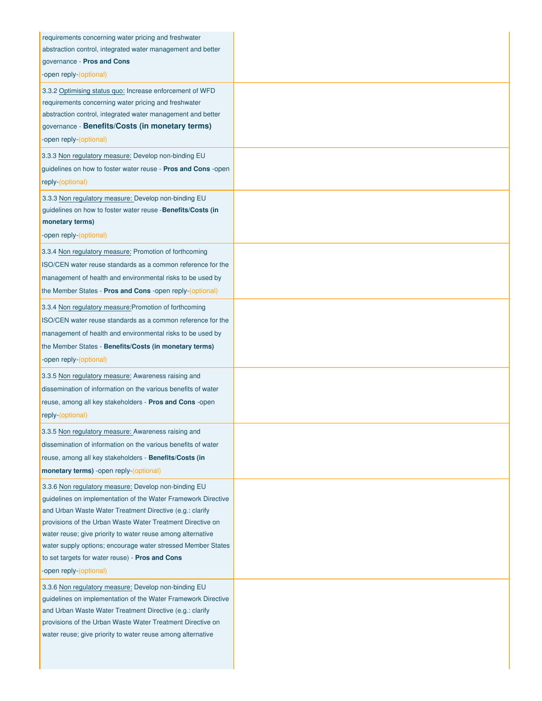| requirements concerning water pricing and freshwater<br>abstraction control, integrated water management and better<br>governance - Pros and Cons<br>-open reply-(optional)                                                                                                                                                                                                                                                                                 |  |
|-------------------------------------------------------------------------------------------------------------------------------------------------------------------------------------------------------------------------------------------------------------------------------------------------------------------------------------------------------------------------------------------------------------------------------------------------------------|--|
| 3.3.2 Optimising status quo: Increase enforcement of WFD<br>requirements concerning water pricing and freshwater<br>abstraction control, integrated water management and better<br>governance - Benefits/Costs (in monetary terms)<br>-open reply-(optional)                                                                                                                                                                                                |  |
| 3.3.3 Non regulatory measure: Develop non-binding EU<br>guidelines on how to foster water reuse - Pros and Cons -open<br>reply-(optional)                                                                                                                                                                                                                                                                                                                   |  |
| 3.3.3 Non regulatory measure: Develop non-binding EU<br>guidelines on how to foster water reuse -Benefits/Costs (in<br>monetary terms)<br>-open reply-(optional)                                                                                                                                                                                                                                                                                            |  |
| 3.3.4 Non regulatory measure: Promotion of forthcoming<br>ISO/CEN water reuse standards as a common reference for the<br>management of health and environmental risks to be used by<br>the Member States - Pros and Cons -open reply-(optional)                                                                                                                                                                                                             |  |
| 3.3.4 Non regulatory measure: Promotion of forthcoming<br>ISO/CEN water reuse standards as a common reference for the<br>management of health and environmental risks to be used by<br>the Member States - Benefits/Costs (in monetary terms)<br>-open reply-(optional)                                                                                                                                                                                     |  |
| 3.3.5 Non regulatory measure: Awareness raising and<br>dissemination of information on the various benefits of water<br>reuse, among all key stakeholders - Pros and Cons -open<br>reply-(optional)                                                                                                                                                                                                                                                         |  |
| 3.3.5 Non regulatory measure: Awareness raising and<br>dissemination of information on the various benefits of water<br>reuse, among all key stakeholders - Benefits/Costs (in<br>monetary terms) -open reply-(optional)                                                                                                                                                                                                                                    |  |
| 3.3.6 Non regulatory measure: Develop non-binding EU<br>guidelines on implementation of the Water Framework Directive<br>and Urban Waste Water Treatment Directive (e.g.: clarify<br>provisions of the Urban Waste Water Treatment Directive on<br>water reuse; give priority to water reuse among alternative<br>water supply options; encourage water stressed Member States<br>to set targets for water reuse) - Pros and Cons<br>-open reply-(optional) |  |
| 3.3.6 Non regulatory measure: Develop non-binding EU<br>guidelines on implementation of the Water Framework Directive<br>and Urban Waste Water Treatment Directive (e.g.: clarify<br>provisions of the Urban Waste Water Treatment Directive on<br>water reuse; give priority to water reuse among alternative                                                                                                                                              |  |